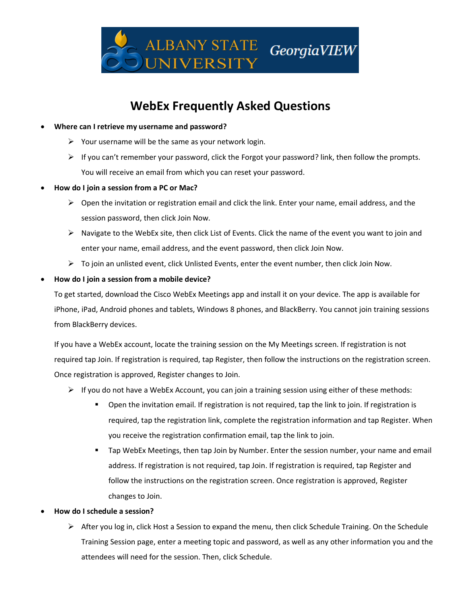

# **WebEx Frequently Asked Questions**

- **Where can I retrieve my username and password?**
	- $\triangleright$  Your username will be the same as your network login.
	- $\triangleright$  If you can't remember your password, click the Forgot your password? link, then follow the prompts. You will receive an email from which you can reset your password.
- **How do I join a session from a PC or Mac?**
	- $\triangleright$  Open the invitation or registration email and click the link. Enter your name, email address, and the session password, then click Join Now.
	- $\triangleright$  Navigate to the WebEx site, then click List of Events. Click the name of the event you want to join and enter your name, email address, and the event password, then click Join Now.
	- $\triangleright$  To join an unlisted event, click Unlisted Events, enter the event number, then click Join Now.

# • **How do I join a session from a mobile device?**

To get started, download the Cisco WebEx Meetings app and install it on your device. The app is available for iPhone, iPad, Android phones and tablets, Windows 8 phones, and BlackBerry. You cannot join training sessions from BlackBerry devices.

If you have a WebEx account, locate the training session on the My Meetings screen. If registration is not required tap Join. If registration is required, tap Register, then follow the instructions on the registration screen. Once registration is approved, Register changes to Join.

- $\triangleright$  If you do not have a WebEx Account, you can join a training session using either of these methods:
	- Open the invitation email. If registration is not required, tap the link to join. If registration is required, tap the registration link, complete the registration information and tap Register. When you receive the registration confirmation email, tap the link to join.
	- Tap WebEx Meetings, then tap Join by Number. Enter the session number, your name and email address. If registration is not required, tap Join. If registration is required, tap Register and follow the instructions on the registration screen. Once registration is approved, Register changes to Join.

#### • **How do I schedule a session?**

➢ After you log in, click Host a Session to expand the menu, then click Schedule Training. On the Schedule Training Session page, enter a meeting topic and password, as well as any other information you and the attendees will need for the session. Then, click Schedule.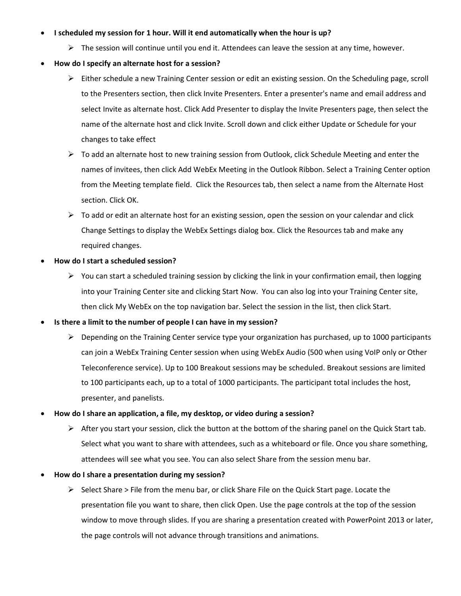### • **I scheduled my session for 1 hour. Will it end automatically when the hour is up?**

 $\triangleright$  The session will continue until you end it. Attendees can leave the session at any time, however.

# • **How do I specify an alternate host for a session?**

- ➢ Either schedule a new Training Center session or edit an existing session. On the Scheduling page, scroll to the Presenters section, then click Invite Presenters. Enter a presenter's name and email address and select Invite as alternate host. Click Add Presenter to display the Invite Presenters page, then select the name of the alternate host and click Invite. Scroll down and click either Update or Schedule for your changes to take effect
- $\triangleright$  To add an alternate host to new training session from Outlook, click Schedule Meeting and enter the names of invitees, then click Add WebEx Meeting in the Outlook Ribbon. Select a Training Center option from the Meeting template field. Click the Resources tab, then select a name from the Alternate Host section. Click OK.
- $\triangleright$  To add or edit an alternate host for an existing session, open the session on your calendar and click Change Settings to display the WebEx Settings dialog box. Click the Resources tab and make any required changes.
- **How do I start a scheduled session?**
	- $\triangleright$  You can start a scheduled training session by clicking the link in your confirmation email, then logging into your Training Center site and clicking Start Now. You can also log into your Training Center site, then click My WebEx on the top navigation bar. Select the session in the list, then click Start.
- **Is there a limit to the number of people I can have in my session?**
	- $\triangleright$  Depending on the Training Center service type your organization has purchased, up to 1000 participants can join a WebEx Training Center session when using WebEx Audio (500 when using VoIP only or Other Teleconference service). Up to 100 Breakout sessions may be scheduled. Breakout sessions are limited to 100 participants each, up to a total of 1000 participants. The participant total includes the host, presenter, and panelists.

#### • **How do I share an application, a file, my desktop, or video during a session?**

- $\triangleright$  After you start your session, click the button at the bottom of the sharing panel on the Quick Start tab. Select what you want to share with attendees, such as a whiteboard or file. Once you share something, attendees will see what you see. You can also select Share from the session menu bar.
- **How do I share a presentation during my session?**
	- $\triangleright$  Select Share > File from the menu bar, or click Share File on the Quick Start page. Locate the presentation file you want to share, then click Open. Use the page controls at the top of the session window to move through slides. If you are sharing a presentation created with PowerPoint 2013 or later, the page controls will not advance through transitions and animations.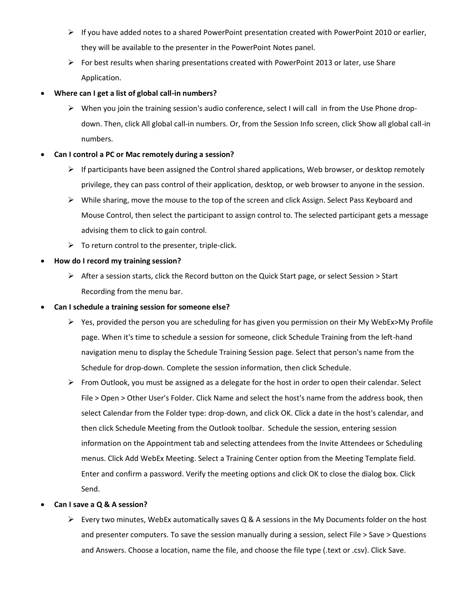- ➢ If you have added notes to a shared PowerPoint presentation created with PowerPoint 2010 or earlier, they will be available to the presenter in the PowerPoint Notes panel.
- $\triangleright$  For best results when sharing presentations created with PowerPoint 2013 or later, use Share Application.
- **Where can I get a list of global call-in numbers?** 
	- $\triangleright$  When you join the training session's audio conference, select I will call in from the Use Phone dropdown. Then, click All global call-in numbers. Or, from the Session Info screen, click Show all global call-in numbers.

# • **Can I control a PC or Mac remotely during a session?**

- $\triangleright$  If participants have been assigned the Control shared applications, Web browser, or desktop remotely privilege, they can pass control of their application, desktop, or web browser to anyone in the session.
- $\triangleright$  While sharing, move the mouse to the top of the screen and click Assign. Select Pass Keyboard and Mouse Control, then select the participant to assign control to. The selected participant gets a message advising them to click to gain control.
- $\triangleright$  To return control to the presenter, triple-click.

# • **How do I record my training session?**

 $\triangleright$  After a session starts, click the Record button on the Quick Start page, or select Session  $>$  Start Recording from the menu bar.

# • **Can I schedule a training session for someone else?**

- $\triangleright$  Yes, provided the person you are scheduling for has given you permission on their My WebEx>My Profile page. When it's time to schedule a session for someone, click Schedule Training from the left-hand navigation menu to display the Schedule Training Session page. Select that person's name from the Schedule for drop-down. Complete the session information, then click Schedule.
- $\triangleright$  From Outlook, you must be assigned as a delegate for the host in order to open their calendar. Select File > Open > Other User's Folder. Click Name and select the host's name from the address book, then select Calendar from the Folder type: drop-down, and click OK. Click a date in the host's calendar, and then click Schedule Meeting from the Outlook toolbar. Schedule the session, entering session information on the Appointment tab and selecting attendees from the Invite Attendees or Scheduling menus. Click Add WebEx Meeting. Select a Training Center option from the Meeting Template field. Enter and confirm a password. Verify the meeting options and click OK to close the dialog box. Click Send.

# • **Can I save a Q & A session?**

 $\triangleright$  Every two minutes, WebEx automatically saves Q & A sessions in the My Documents folder on the host and presenter computers. To save the session manually during a session, select File > Save > Questions and Answers. Choose a location, name the file, and choose the file type (.text or .csv). Click Save.